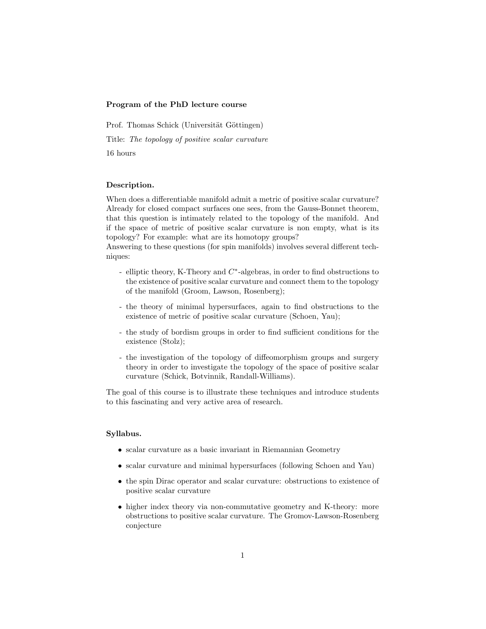## Program of the PhD lecture course

Prof. Thomas Schick (Universität Göttingen) Title: The topology of positive scalar curvature 16 hours

## Description.

When does a differentiable manifold admit a metric of positive scalar curvature? Already for closed compact surfaces one sees, from the Gauss-Bonnet theorem, that this question is intimately related to the topology of the manifold. And if the space of metric of positive scalar curvature is non empty, what is its topology? For example: what are its homotopy groups?

Answering to these questions (for spin manifolds) involves several different techniques:

- elliptic theory, K-Theory and  $C^*$ -algebras, in order to find obstructions to the existence of positive scalar curvature and connect them to the topology of the manifold (Groom, Lawson, Rosenberg);
- the theory of minimal hypersurfaces, again to find obstructions to the existence of metric of positive scalar curvature (Schoen, Yau);
- the study of bordism groups in order to find sufficient conditions for the existence (Stolz);
- the investigation of the topology of diffeomorphism groups and surgery theory in order to investigate the topology of the space of positive scalar curvature (Schick, Botvinnik, Randall-Williams).

The goal of this course is to illustrate these techniques and introduce students to this fascinating and very active area of research.

## Syllabus.

- scalar curvature as a basic invariant in Riemannian Geometry
- scalar curvature and minimal hypersurfaces (following Schoen and Yau)
- the spin Dirac operator and scalar curvature: obstructions to existence of positive scalar curvature
- higher index theory via non-commutative geometry and K-theory: more obstructions to positive scalar curvature. The Gromov-Lawson-Rosenberg conjecture